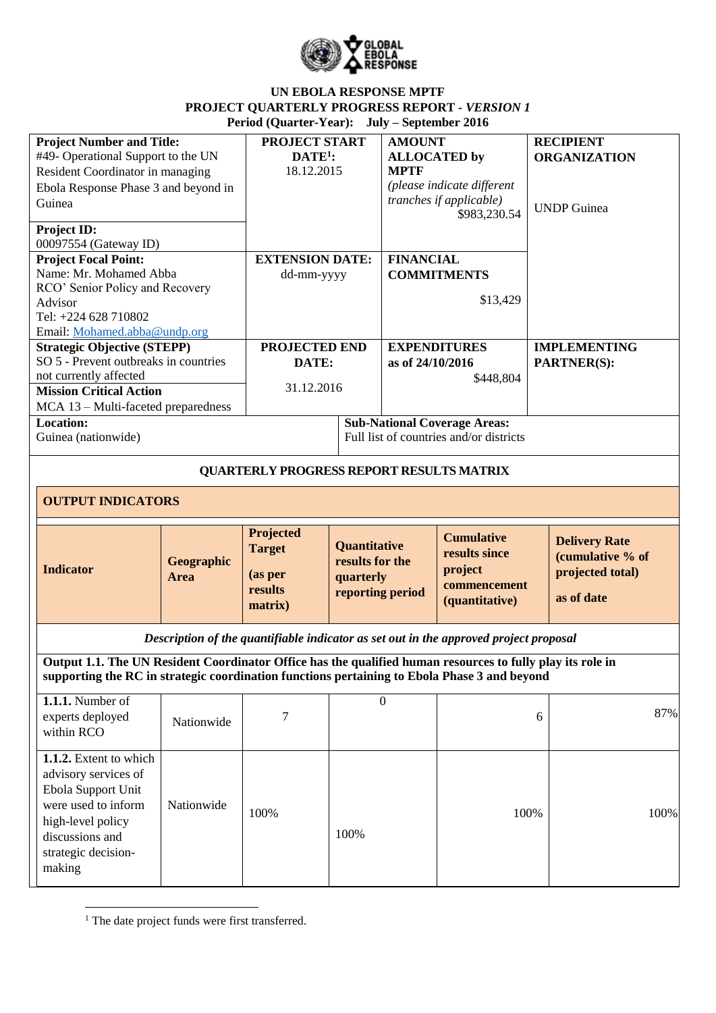

| <b>Project Number and Title:</b><br>#49- Operational Support to the UN<br>Resident Coordinator in managing<br>Ebola Response Phase 3 and beyond in<br>Guinea<br>Project ID:<br>00097554 (Gateway ID)       |                    | PROJECT START<br>$DATE1$<br>18.12.2015                      |                                                                  | <b>AMOUNT</b><br><b>ALLOCATED</b> by<br><b>MPTF</b> | (please indicate different<br>tranches if applicable)<br>\$983,230.54                 |   | <b>RECIPIENT</b><br><b>ORGANIZATION</b><br><b>UNDP</b> Guinea              |
|------------------------------------------------------------------------------------------------------------------------------------------------------------------------------------------------------------|--------------------|-------------------------------------------------------------|------------------------------------------------------------------|-----------------------------------------------------|---------------------------------------------------------------------------------------|---|----------------------------------------------------------------------------|
| <b>Project Focal Point:</b><br>Name: Mr. Mohamed Abba<br>RCO' Senior Policy and Recovery<br>Advisor<br>Tel: +224 628 710802<br>Email: Mohamed.abba@undp.org                                                |                    | <b>EXTENSION DATE:</b><br>dd-mm-yyyy                        |                                                                  | <b>FINANCIAL</b>                                    | <b>COMMITMENTS</b><br>\$13,429                                                        |   |                                                                            |
| <b>Strategic Objective (STEPP)</b><br>SO 5 - Prevent outbreaks in countries<br>not currently affected<br><b>Mission Critical Action</b><br>MCA 13 - Multi-faceted preparedness                             |                    | PROJECTED END<br>DATE:<br>31.12.2016                        |                                                                  | as of 24/10/2016                                    | <b>EXPENDITURES</b><br>\$448,804                                                      |   | <b>IMPLEMENTING</b><br>PARTNER(S):                                         |
| <b>Location:</b><br>Guinea (nationwide)                                                                                                                                                                    |                    |                                                             |                                                                  |                                                     | <b>Sub-National Coverage Areas:</b><br>Full list of countries and/or districts        |   |                                                                            |
|                                                                                                                                                                                                            |                    | <b>QUARTERLY PROGRESS REPORT RESULTS MATRIX</b>             |                                                                  |                                                     |                                                                                       |   |                                                                            |
| <b>OUTPUT INDICATORS</b>                                                                                                                                                                                   |                    |                                                             |                                                                  |                                                     |                                                                                       |   |                                                                            |
| <b>Indicator</b>                                                                                                                                                                                           | Geographic<br>Area | Projected<br><b>Target</b><br>(as per<br>results<br>matrix) | Quantitative<br>results for the<br>quarterly<br>reporting period |                                                     | <b>Cumulative</b><br>results since<br>project<br>commencement<br>(quantitative)       |   | <b>Delivery Rate</b><br>(cumulative % of<br>projected total)<br>as of date |
|                                                                                                                                                                                                            |                    |                                                             |                                                                  |                                                     | Description of the quantifiable indicator as set out in the approved project proposal |   |                                                                            |
| Output 1.1. The UN Resident Coordinator Office has the qualified human resources to fully play its role in<br>supporting the RC in strategic coordination functions pertaining to Ebola Phase 3 and beyond |                    |                                                             |                                                                  |                                                     |                                                                                       |   |                                                                            |
| $1.1.1$ . Number of<br>experts deployed<br>within RCO                                                                                                                                                      | Nationwide         | $\tau$                                                      |                                                                  | $\mathbf{0}$                                        |                                                                                       | 6 | 87%                                                                        |
| 1.1.2. Extent to which<br>advisory services of<br>Ebola Support Unit<br>were used to inform<br>high-level policy<br>discussions and<br>strategic decision-<br>making                                       | Nationwide         | 100%                                                        | 100%                                                             |                                                     | 100%                                                                                  |   | 100%                                                                       |

**.** <sup>1</sup> The date project funds were first transferred.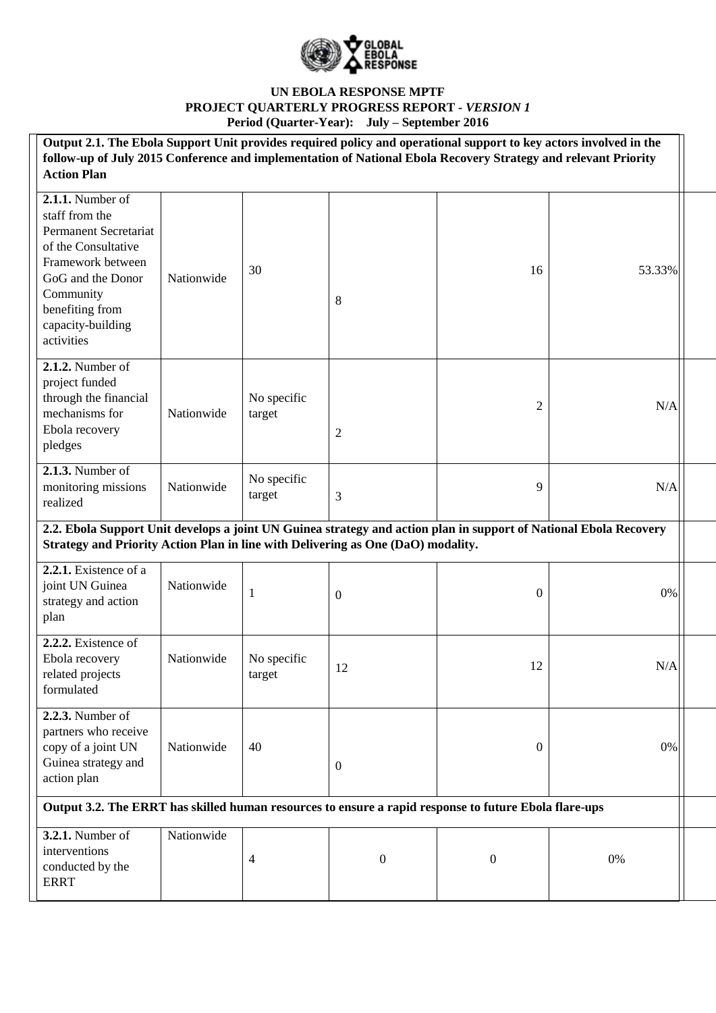

| Output 2.1. The Ebola Support Unit provides required policy and operational support to key actors involved in the<br>follow-up of July 2015 Conference and implementation of National Ebola Recovery Strategy and relevant Priority<br><b>Action Plan</b> |            |                       |                  |                  |        |  |
|-----------------------------------------------------------------------------------------------------------------------------------------------------------------------------------------------------------------------------------------------------------|------------|-----------------------|------------------|------------------|--------|--|
| 2.1.1. Number of<br>staff from the<br><b>Permanent Secretariat</b><br>of the Consultative<br>Framework between<br>GoG and the Donor<br>Community<br>benefiting from<br>capacity-building<br>activities                                                    | Nationwide | 30                    | 8                | 16               | 53.33% |  |
| 2.1.2. Number of<br>project funded<br>through the financial<br>mechanisms for<br>Ebola recovery<br>pledges                                                                                                                                                | Nationwide | No specific<br>target | $\overline{2}$   | $\overline{c}$   | N/A    |  |
| 2.1.3. Number of<br>monitoring missions<br>realized                                                                                                                                                                                                       | Nationwide | No specific<br>target | 3                | 9                | N/A    |  |
| 2.2. Ebola Support Unit develops a joint UN Guinea strategy and action plan in support of National Ebola Recovery<br>Strategy and Priority Action Plan in line with Delivering as One (DaO) modality.                                                     |            |                       |                  |                  |        |  |
| 2.2.1. Existence of a<br>joint UN Guinea<br>strategy and action<br>plan                                                                                                                                                                                   | Nationwide | $\mathbf{1}$          | $\boldsymbol{0}$ | $\boldsymbol{0}$ | 0%     |  |
| 2.2.2. Existence of<br>Ebola recovery<br>related projects<br>formulated                                                                                                                                                                                   | Nationwide | No specific<br>target | 12               | 12               | N/A    |  |
| <b>2.2.3.</b> Number of<br>partners who receive<br>copy of a joint UN<br>Guinea strategy and<br>action plan                                                                                                                                               | Nationwide | 40                    | $\overline{0}$   | $\boldsymbol{0}$ | 0%     |  |
| Output 3.2. The ERRT has skilled human resources to ensure a rapid response to future Ebola flare-ups                                                                                                                                                     |            |                       |                  |                  |        |  |
| $3.2.1$ . Number of<br>interventions<br>conducted by the<br><b>ERRT</b>                                                                                                                                                                                   | Nationwide | $\overline{4}$        | $\boldsymbol{0}$ | $\mathbf{0}$     | 0%     |  |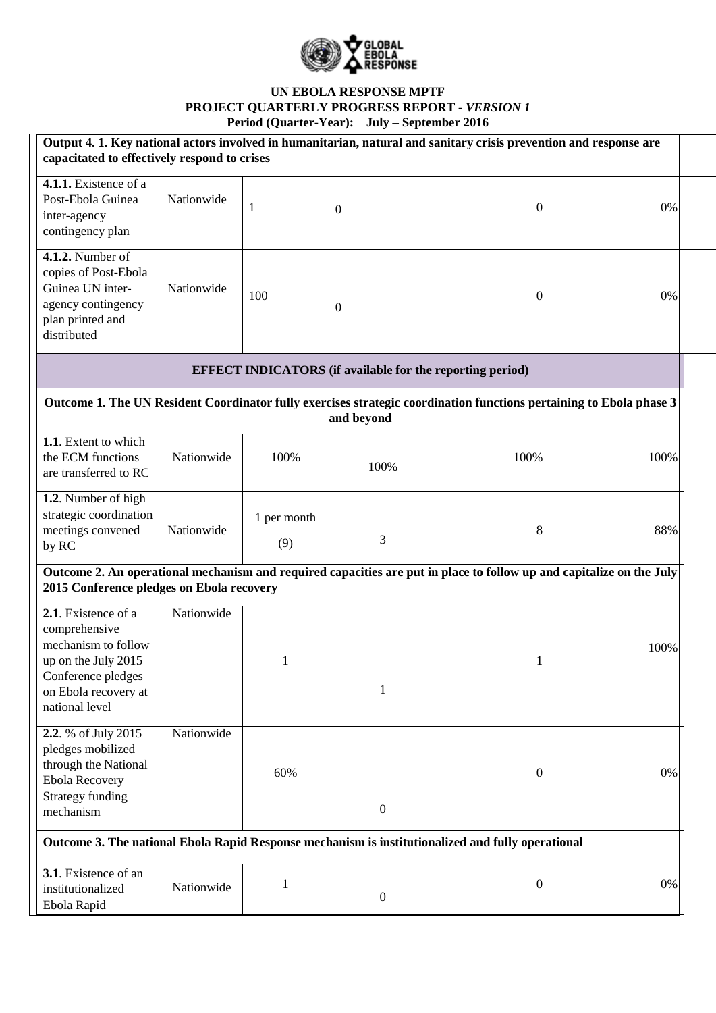

| Output 4. 1. Key national actors involved in humanitarian, natural and sanitary crisis prevention and response are<br>capacitated to effectively respond to crises |            |                    |                                                                  |                  |                                                                                                                      |  |
|--------------------------------------------------------------------------------------------------------------------------------------------------------------------|------------|--------------------|------------------------------------------------------------------|------------------|----------------------------------------------------------------------------------------------------------------------|--|
| 4.1.1. Existence of a<br>Post-Ebola Guinea<br>inter-agency<br>contingency plan                                                                                     | Nationwide | 1                  | $\overline{0}$                                                   | 0                | 0%                                                                                                                   |  |
| 4.1.2. Number of<br>copies of Post-Ebola<br>Guinea UN inter-<br>agency contingency<br>plan printed and<br>distributed                                              | Nationwide | 100                | $\overline{0}$                                                   | $\mathbf{0}$     | 0%                                                                                                                   |  |
|                                                                                                                                                                    |            |                    | <b>EFFECT INDICATORS</b> (if available for the reporting period) |                  |                                                                                                                      |  |
|                                                                                                                                                                    |            |                    | and beyond                                                       |                  | Outcome 1. The UN Resident Coordinator fully exercises strategic coordination functions pertaining to Ebola phase 3  |  |
| 1.1. Extent to which<br>the ECM functions<br>are transferred to RC                                                                                                 | Nationwide | 100%               | 100%                                                             | 100%             | 100%                                                                                                                 |  |
| 1.2. Number of high<br>strategic coordination<br>meetings convened<br>by RC                                                                                        | Nationwide | 1 per month<br>(9) | 3                                                                | 8                | 88%                                                                                                                  |  |
| 2015 Conference pledges on Ebola recovery                                                                                                                          |            |                    |                                                                  |                  | Outcome 2. An operational mechanism and required capacities are put in place to follow up and capitalize on the July |  |
| 2.1. Existence of a<br>comprehensive<br>mechanism to follow<br>up on the July 2015<br>Conference pledges<br>on Ebola recovery at<br>national level                 | Nationwide | 1                  | 1                                                                | 1                | 100%                                                                                                                 |  |
| 2.2. % of July 2015<br>pledges mobilized<br>through the National<br><b>Ebola Recovery</b><br><b>Strategy funding</b><br>mechanism                                  | Nationwide | 60%                | $\boldsymbol{0}$                                                 | $\boldsymbol{0}$ | 0%                                                                                                                   |  |
| Outcome 3. The national Ebola Rapid Response mechanism is institutionalized and fully operational                                                                  |            |                    |                                                                  |                  |                                                                                                                      |  |
| 3.1. Existence of an<br>institutionalized<br>Ebola Rapid                                                                                                           | Nationwide | 1                  | $\boldsymbol{0}$                                                 | $\boldsymbol{0}$ | 0%                                                                                                                   |  |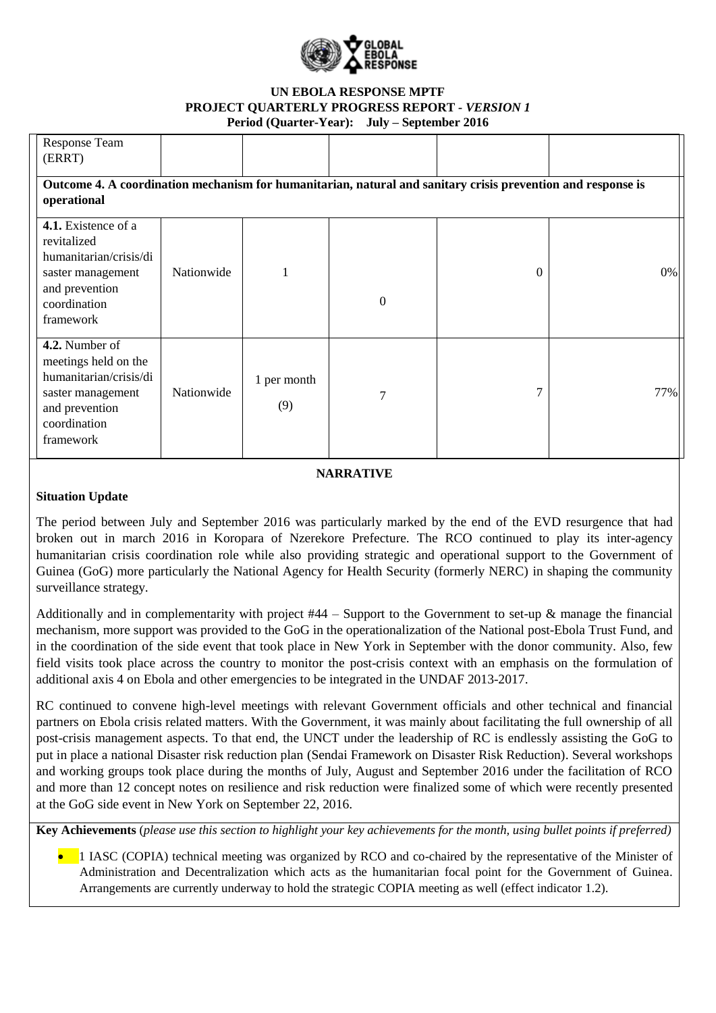

| <b>Response Team</b>                                                                                                                 |            |                    |                  |   |     |
|--------------------------------------------------------------------------------------------------------------------------------------|------------|--------------------|------------------|---|-----|
| (ERRT)                                                                                                                               |            |                    |                  |   |     |
| Outcome 4. A coordination mechanism for humanitarian, natural and sanitary crisis prevention and response is                         |            |                    |                  |   |     |
| operational                                                                                                                          |            |                    |                  |   |     |
| 4.1. Existence of a<br>revitalized<br>humanitarian/crisis/di<br>saster management<br>and prevention<br>coordination<br>framework     | Nationwide |                    | $\boldsymbol{0}$ | 0 | 0%  |
| 4.2. Number of<br>meetings held on the<br>humanitarian/crisis/di<br>saster management<br>and prevention<br>coordination<br>framework | Nationwide | 1 per month<br>(9) | 7                | 7 | 77% |

# **NARRATIVE**

## **Situation Update**

The period between July and September 2016 was particularly marked by the end of the EVD resurgence that had broken out in march 2016 in Koropara of Nzerekore Prefecture. The RCO continued to play its inter-agency humanitarian crisis coordination role while also providing strategic and operational support to the Government of Guinea (GoG) more particularly the National Agency for Health Security (formerly NERC) in shaping the community surveillance strategy.

Additionally and in complementarity with project  $#44 -$  Support to the Government to set-up  $\&$  manage the financial [mechanism,](http://mptf.undp.org/factsheet/project/00096708) more support was provided to the GoG in the operationalization of the National post-Ebola Trust Fund, and in the coordination of the side event that took place in New York in September with the donor community. Also, few field visits took place across the country to monitor the post-crisis context with an emphasis on the formulation of additional axis 4 on Ebola and other emergencies to be integrated in the UNDAF 2013-2017.

RC continued to convene high-level meetings with relevant Government officials and other technical and financial partners on Ebola crisis related matters. With the Government, it was mainly about facilitating the full ownership of all post-crisis management aspects. To that end, the UNCT under the leadership of RC is endlessly assisting the GoG to put in place a national Disaster risk reduction plan (Sendai Framework on Disaster Risk Reduction). Several workshops and working groups took place during the months of July, August and September 2016 under the facilitation of RCO and more than 12 concept notes on resilience and risk reduction were finalized some of which were recently presented at the GoG side event in New York on September 22, 2016.

**Key Achievements** (*please use this section to highlight your key achievements for the month, using bullet points if preferred)*

• 1 IASC (COPIA) technical meeting was organized by RCO and co-chaired by the representative of the Minister of Administration and Decentralization which acts as the humanitarian focal point for the Government of Guinea. Arrangements are currently underway to hold the strategic COPIA meeting as well (effect indicator 1.2).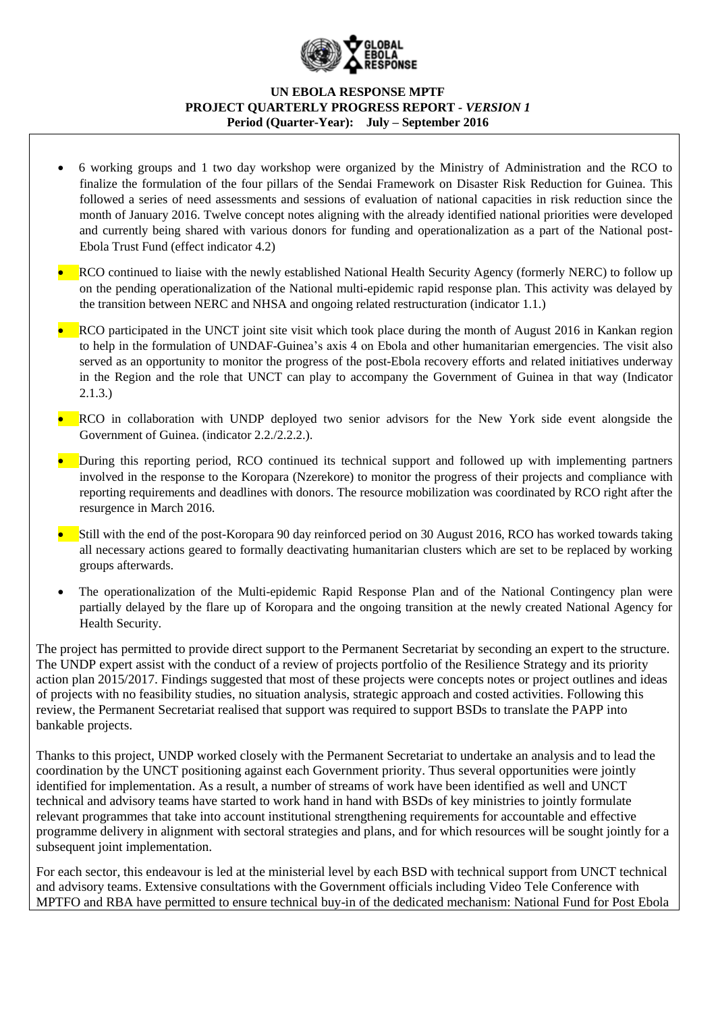

- 6 working groups and 1 two day workshop were organized by the Ministry of Administration and the RCO to finalize the formulation of the four pillars of the Sendai Framework on Disaster Risk Reduction for Guinea. This followed a series of need assessments and sessions of evaluation of national capacities in risk reduction since the month of January 2016. Twelve concept notes aligning with the already identified national priorities were developed and currently being shared with various donors for funding and operationalization as a part of the National post-Ebola Trust Fund (effect indicator 4.2)
- RCO continued to liaise with the newly established National Health Security Agency (formerly NERC) to follow up on the pending operationalization of the National multi-epidemic rapid response plan. This activity was delayed by the transition between NERC and NHSA and ongoing related restructuration (indicator 1.1.)
- RCO participated in the UNCT joint site visit which took place during the month of August 2016 in Kankan region to help in the formulation of UNDAF-Guinea's axis 4 on Ebola and other humanitarian emergencies. The visit also served as an opportunity to monitor the progress of the post-Ebola recovery efforts and related initiatives underway in the Region and the role that UNCT can play to accompany the Government of Guinea in that way (Indicator 2.1.3.)
- RCO in collaboration with UNDP deployed two senior advisors for the New York side event alongside the Government of Guinea. (indicator 2.2./2.2.2.).
- During this reporting period, RCO continued its technical support and followed up with implementing partners involved in the response to the Koropara (Nzerekore) to monitor the progress of their projects and compliance with reporting requirements and deadlines with donors. The resource mobilization was coordinated by RCO right after the resurgence in March 2016.
- Still with the end of the post-Koropara 90 day reinforced period on 30 August 2016, RCO has worked towards taking all necessary actions geared to formally deactivating humanitarian clusters which are set to be replaced by working groups afterwards.
- The operationalization of the Multi-epidemic Rapid Response Plan and of the National Contingency plan were partially delayed by the flare up of Koropara and the ongoing transition at the newly created National Agency for Health Security.

The project has permitted to provide direct support to the Permanent Secretariat by seconding an expert to the structure. The UNDP expert assist with the conduct of a review of projects portfolio of the Resilience Strategy and its priority action plan 2015/2017. Findings suggested that most of these projects were concepts notes or project outlines and ideas of projects with no feasibility studies, no situation analysis, strategic approach and costed activities. Following this review, the Permanent Secretariat realised that support was required to support BSDs to translate the PAPP into bankable projects.

Thanks to this project, UNDP worked closely with the Permanent Secretariat to undertake an analysis and to lead the coordination by the UNCT positioning against each Government priority. Thus several opportunities were jointly identified for implementation. As a result, a number of streams of work have been identified as well and UNCT technical and advisory teams have started to work hand in hand with BSDs of key ministries to jointly formulate relevant programmes that take into account institutional strengthening requirements for accountable and effective programme delivery in alignment with sectoral strategies and plans, and for which resources will be sought jointly for a subsequent joint implementation.

For each sector, this endeavour is led at the ministerial level by each BSD with technical support from UNCT technical and advisory teams. Extensive consultations with the Government officials including Video Tele Conference with MPTFO and RBA have permitted to ensure technical buy-in of the dedicated mechanism: National Fund for Post Ebola